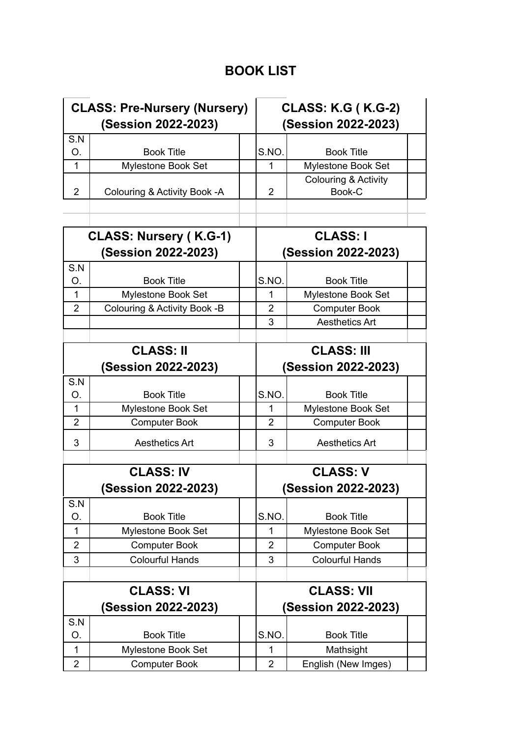## **BOOK LIST**

 $\mathcal{L}^{\mathcal{L}}$ 

÷

| <b>CLASS: Pre-Nursery (Nursery)</b> |                              |  | <b>CLASS: K.G ( K.G-2)</b> |                        |  |  |
|-------------------------------------|------------------------------|--|----------------------------|------------------------|--|--|
|                                     | (Session 2022-2023)          |  | (Session 2022-2023)        |                        |  |  |
| S.N                                 |                              |  |                            |                        |  |  |
| О.                                  | <b>Book Title</b>            |  | S.NO.                      | <b>Book Title</b>      |  |  |
| $\mathbf 1$                         | Mylestone Book Set           |  | 1                          | Mylestone Book Set     |  |  |
|                                     |                              |  |                            | Colouring & Activity   |  |  |
| $\overline{2}$                      | Colouring & Activity Book -A |  | $\overline{2}$             | Book-C                 |  |  |
|                                     |                              |  |                            |                        |  |  |
|                                     |                              |  |                            |                        |  |  |
| <b>CLASS: Nursery (K.G-1)</b>       |                              |  | <b>CLASS: I</b>            |                        |  |  |
|                                     | (Session 2022-2023)          |  |                            | (Session 2022-2023)    |  |  |
| S.N                                 |                              |  |                            |                        |  |  |
| O.                                  | <b>Book Title</b>            |  | S.NO.                      | <b>Book Title</b>      |  |  |
| 1                                   | Mylestone Book Set           |  | 1                          | Mylestone Book Set     |  |  |
| $\overline{2}$                      | Colouring & Activity Book -B |  | $\overline{2}$             | <b>Computer Book</b>   |  |  |
|                                     |                              |  | 3                          | <b>Aesthetics Art</b>  |  |  |
|                                     |                              |  |                            |                        |  |  |
| <b>CLASS: II</b>                    |                              |  | <b>CLASS: III</b>          |                        |  |  |
|                                     | <b>(Session 2022-2023)</b>   |  |                            | (Session 2022-2023)    |  |  |
| S.N                                 |                              |  |                            |                        |  |  |
| О.                                  | <b>Book Title</b>            |  | S.NO.                      | <b>Book Title</b>      |  |  |
| $\mathbf 1$                         | Mylestone Book Set           |  | 1                          | Mylestone Book Set     |  |  |
| $\overline{2}$                      | <b>Computer Book</b>         |  | $\overline{2}$             | <b>Computer Book</b>   |  |  |
| 3                                   | <b>Aesthetics Art</b>        |  | 3                          | <b>Aesthetics Art</b>  |  |  |
|                                     |                              |  |                            |                        |  |  |
| <b>CLASS: IV</b>                    |                              |  | <b>CLASS: V</b>            |                        |  |  |
|                                     | (Session 2022-2023)          |  |                            | (Session 2022-2023)    |  |  |
| S.N                                 |                              |  |                            |                        |  |  |
| О.                                  | <b>Book Title</b>            |  | S.NO.                      | <b>Book Title</b>      |  |  |
| 1                                   | Mylestone Book Set           |  | 1                          | Mylestone Book Set     |  |  |
| $\overline{2}$                      | <b>Computer Book</b>         |  | $\overline{2}$             | <b>Computer Book</b>   |  |  |
| 3                                   | <b>Colourful Hands</b>       |  | 3                          | <b>Colourful Hands</b> |  |  |
|                                     |                              |  |                            |                        |  |  |
| <b>CLASS: VI</b>                    |                              |  |                            | <b>CLASS: VII</b>      |  |  |
| (Session 2022-2023)                 |                              |  | (Session 2022-2023)        |                        |  |  |
| S.N                                 |                              |  |                            |                        |  |  |
| О.                                  | <b>Book Title</b>            |  | S.NO.                      | <b>Book Title</b>      |  |  |
| $\mathbf 1$                         | Mylestone Book Set           |  | 1                          | Mathsight              |  |  |
| $\overline{2}$                      | <b>Computer Book</b>         |  | $\overline{2}$             | English (New Imges)    |  |  |